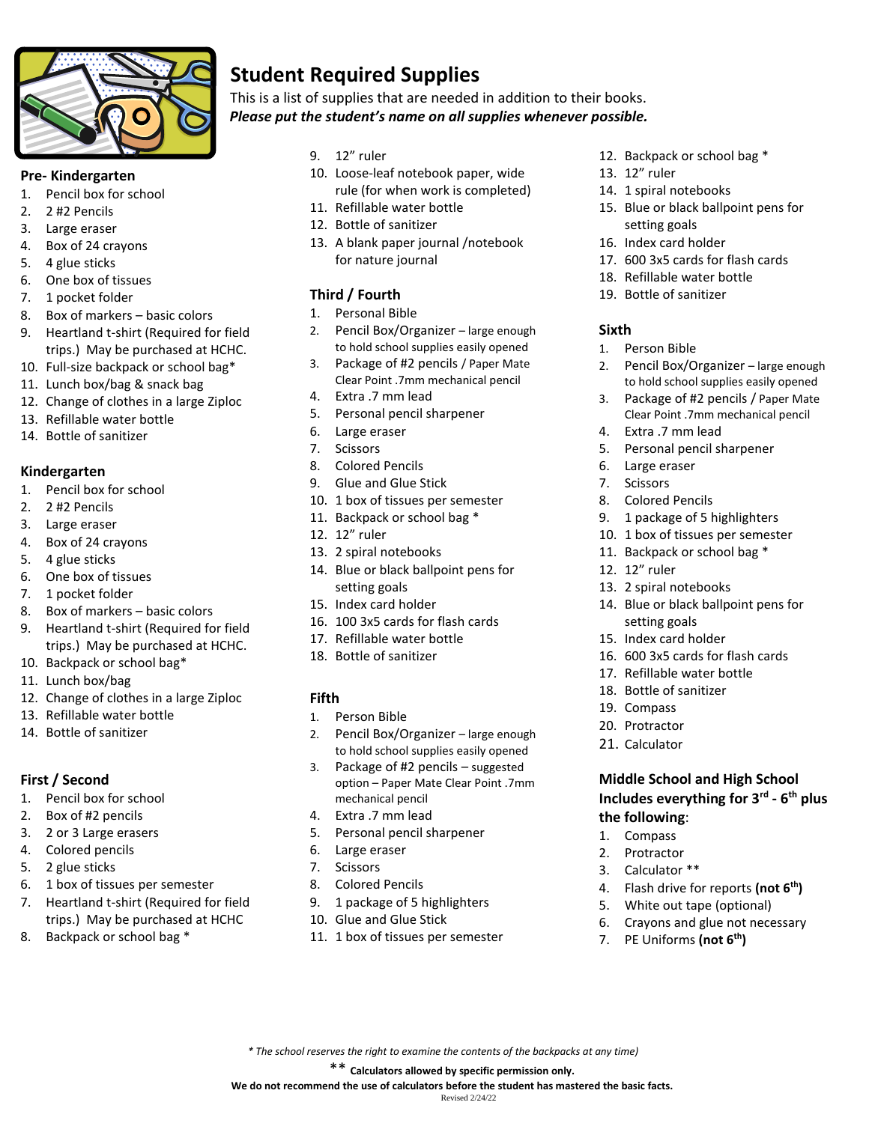

### **Pre- Kindergarten**

- 1. Pencil box for school
- 2. 2 #2 Pencils
- 3. Large eraser
- 4. Box of 24 crayons
- 5. 4 glue sticks
- 6. One box of tissues
- 7. 1 pocket folder
- 8. Box of markers basic colors
- 9. Heartland t-shirt (Required for field trips.) May be purchased at HCHC.
- 10. Full-size backpack or school bag\*
- 11. Lunch box/bag & snack bag
- 12. Change of clothes in a large Ziploc
- 13. Refillable water bottle
- 14. Bottle of sanitizer

## **Kindergarten**

- 1. Pencil box for school
- 2. 2 #2 Pencils
- 3. Large eraser
- 4. Box of 24 crayons
- 5. 4 glue sticks
- 6. One box of tissues
- 7. 1 pocket folder
- 8. Box of markers basic colors
- 9. Heartland t-shirt (Required for field trips.) May be purchased at HCHC.
- 10. Backpack or school bag\*
- 11. Lunch box/bag
- 12. Change of clothes in a large Ziploc
- 13. Refillable water bottle
- 14. Bottle of sanitizer

## **First / Second**

- 1. Pencil box for school
- 2. Box of #2 pencils
- 3. 2 or 3 Large erasers
- 4. Colored pencils
- 5. 2 glue sticks
- 6. 1 box of tissues per semester
- 7. Heartland t-shirt (Required for field trips.) May be purchased at HCHC
- 8. Backpack or school bag \*

# **Student Required Supplies**

This is a list of supplies that are needed in addition to their books. *Please put the student's name on all supplies whenever possible.*

- 9. 12" ruler
- 10. Loose-leaf notebook paper, wide rule (for when work is completed)
- 11. Refillable water bottle
- 12. Bottle of sanitizer
- 13. A blank paper journal /notebook for nature journal

# **Third / Fourth**

- 1. Personal Bible
- 2. Pencil Box/Organizer large enough to hold school supplies easily opened
- 3. Package of #2 pencils / Paper Mate Clear Point .7mm mechanical pencil
- 4. Extra .7 mm lead
- 5. Personal pencil sharpener
- 6. Large eraser
- 7. Scissors
- 8. Colored Pencils
- 9. Glue and Glue Stick
- 10. 1 box of tissues per semester
- 11. Backpack or school bag \*
- 12. 12" ruler
- 13. 2 spiral notebooks
- 14. Blue or black ballpoint pens for setting goals
- 15. Index card holder
- 16. 100 3x5 cards for flash cards
- 17. Refillable water bottle
- 18. Bottle of sanitizer

## **Fifth**

- 1. Person Bible
- 2. Pencil Box/Organizer large enough to hold school supplies easily opened
- 3. Package of #2 pencils suggested option – Paper Mate Clear Point .7mm mechanical pencil
- 4. Extra .7 mm lead
- 5. Personal pencil sharpener
- 6. Large eraser
- 7. Scissors
- 8. Colored Pencils
- 9. 1 package of 5 highlighters
- 10. Glue and Glue Stick
- 11. 1 box of tissues per semester

*\* The school reserves the right to examine the contents of the backpacks at any time)* \*\* **Calculators allowed by specific permission only. We do not recommend the use of calculators before the student has mastered the basic facts.**  Revised 2/24/22

- 12. Backpack or school bag \*
- 13. 12" ruler
- 14. 1 spiral notebooks
- 15. Blue or black ballpoint pens for setting goals
- 16. Index card holder
- 17. 600 3x5 cards for flash cards
- 18. Refillable water bottle
- 19. Bottle of sanitizer

### **Sixth**

- 1. Person Bible
- 2. Pencil Box/Organizer large enough to hold school supplies easily opened
- 3. Package of #2 pencils / Paper Mate Clear Point .7mm mechanical pencil
- 4. Extra .7 mm lead
- 5. Personal pencil sharpener
- 6. Large eraser
- 7. Scissors
- 8. Colored Pencils
- 9. 1 package of 5 highlighters

14. Blue or black ballpoint pens for

16. 600 3x5 cards for flash cards 17. Refillable water bottle 18. Bottle of sanitizer

**Middle School and High School Includes everything for 3rd - 6 th plus** 

4. Flash drive for reports **(not 6th)** 5. White out tape (optional) 6. Crayons and glue not necessary

7. PE Uniforms **(not 6th)**

- 10. 1 box of tissues per semester
- 11. Backpack or school bag \*
- 12. 12" ruler

19. Compass 20. Protractor 21. Calculator

**the following**: 1. Compass 2. Protractor 3. Calculator \*\*

13. 2 spiral notebooks

setting goals 15. Index card holder